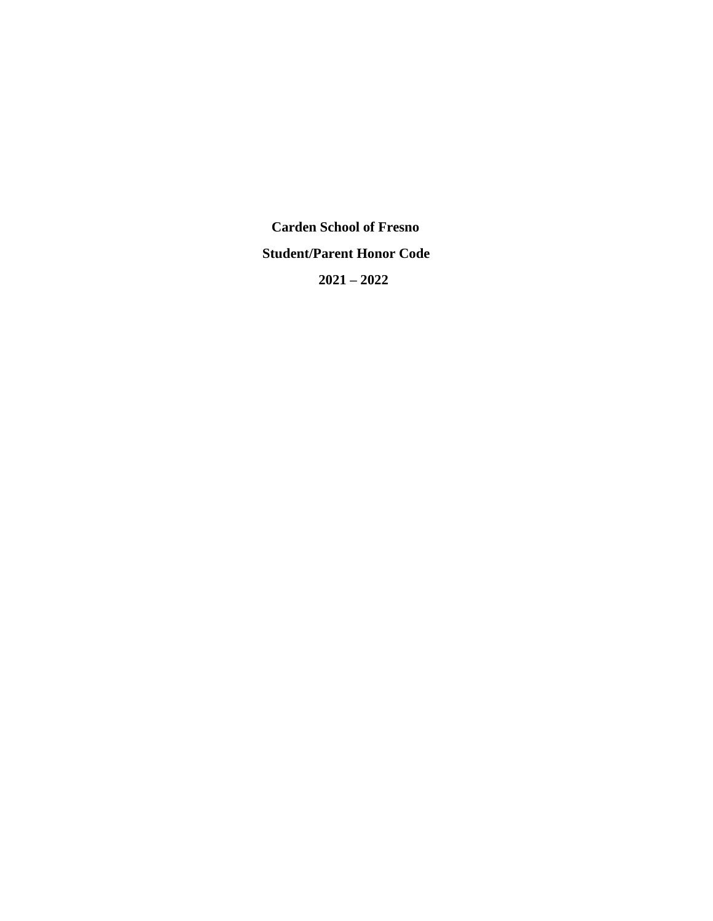**Carden School of Fresno Student/Parent Honor Code 2021 – 2022**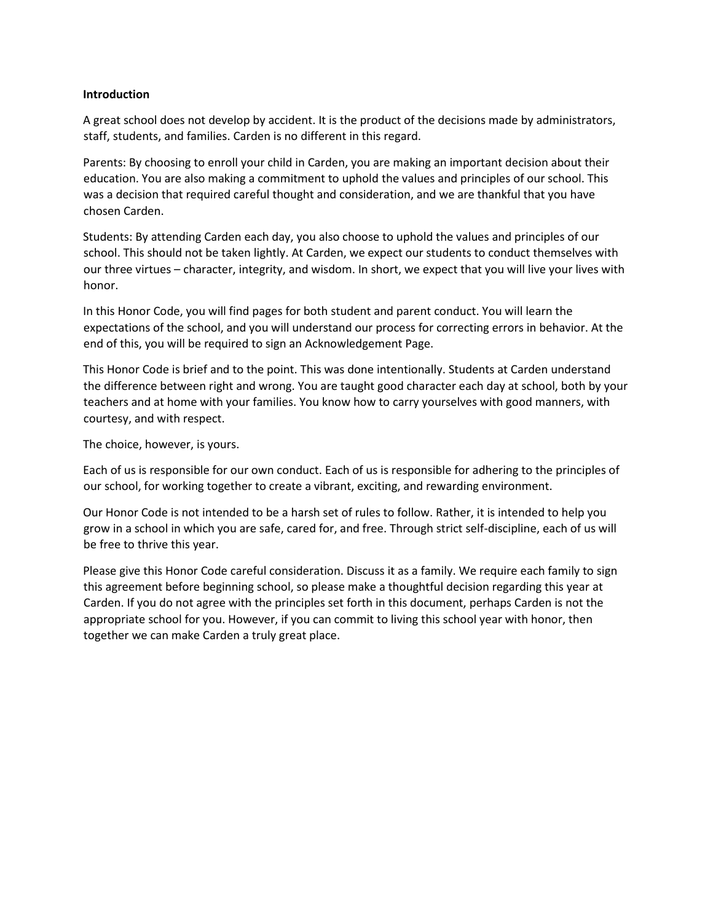### **Introduction**

A great school does not develop by accident. It is the product of the decisions made by administrators, staff, students, and families. Carden is no different in this regard.

Parents: By choosing to enroll your child in Carden, you are making an important decision about their education. You are also making a commitment to uphold the values and principles of our school. This was a decision that required careful thought and consideration, and we are thankful that you have chosen Carden.

Students: By attending Carden each day, you also choose to uphold the values and principles of our school. This should not be taken lightly. At Carden, we expect our students to conduct themselves with our three virtues – character, integrity, and wisdom. In short, we expect that you will live your lives with honor.

In this Honor Code, you will find pages for both student and parent conduct. You will learn the expectations of the school, and you will understand our process for correcting errors in behavior. At the end of this, you will be required to sign an Acknowledgement Page.

This Honor Code is brief and to the point. This was done intentionally. Students at Carden understand the difference between right and wrong. You are taught good character each day at school, both by your teachers and at home with your families. You know how to carry yourselves with good manners, with courtesy, and with respect.

The choice, however, is yours.

Each of us is responsible for our own conduct. Each of us is responsible for adhering to the principles of our school, for working together to create a vibrant, exciting, and rewarding environment.

Our Honor Code is not intended to be a harsh set of rules to follow. Rather, it is intended to help you grow in a school in which you are safe, cared for, and free. Through strict self-discipline, each of us will be free to thrive this year.

Please give this Honor Code careful consideration. Discuss it as a family. We require each family to sign this agreement before beginning school, so please make a thoughtful decision regarding this year at Carden. If you do not agree with the principles set forth in this document, perhaps Carden is not the appropriate school for you. However, if you can commit to living this school year with honor, then together we can make Carden a truly great place.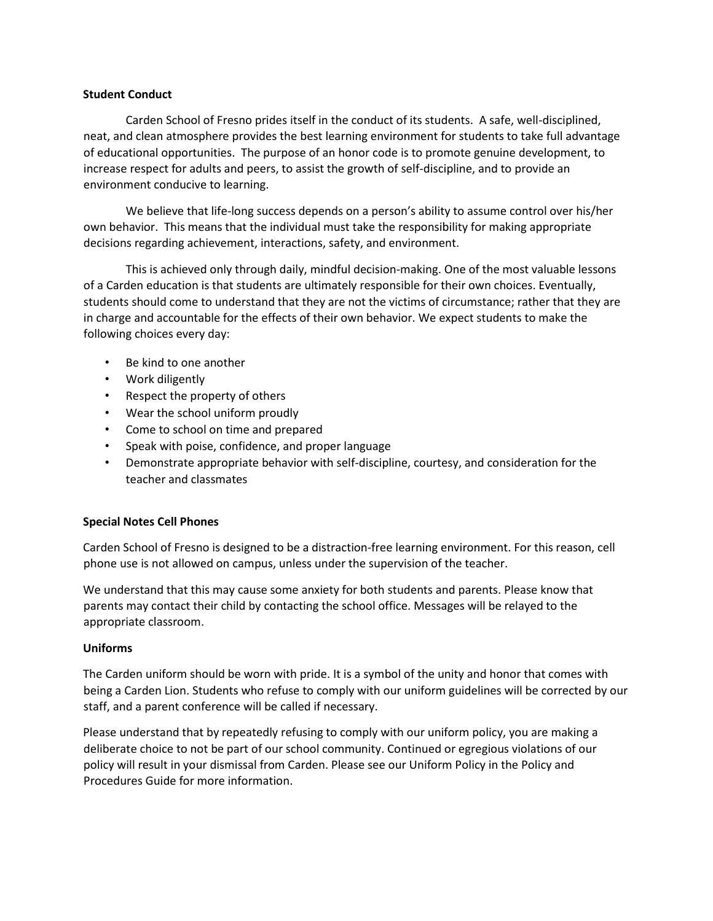### **Student Conduct**

Carden School of Fresno prides itself in the conduct of its students. A safe, well-disciplined, neat, and clean atmosphere provides the best learning environment for students to take full advantage of educational opportunities. The purpose of an honor code is to promote genuine development, to increase respect for adults and peers, to assist the growth of self-discipline, and to provide an environment conducive to learning.

We believe that life-long success depends on a person's ability to assume control over his/her own behavior. This means that the individual must take the responsibility for making appropriate decisions regarding achievement, interactions, safety, and environment.

This is achieved only through daily, mindful decision-making. One of the most valuable lessons of a Carden education is that students are ultimately responsible for their own choices. Eventually, students should come to understand that they are not the victims of circumstance; rather that they are in charge and accountable for the effects of their own behavior. We expect students to make the following choices every day:

- Be kind to one another
- Work diligently
- Respect the property of others
- Wear the school uniform proudly
- Come to school on time and prepared
- Speak with poise, confidence, and proper language
- Demonstrate appropriate behavior with self-discipline, courtesy, and consideration for the teacher and classmates

# **Special Notes Cell Phones**

Carden School of Fresno is designed to be a distraction-free learning environment. For this reason, cell phone use is not allowed on campus, unless under the supervision of the teacher.

We understand that this may cause some anxiety for both students and parents. Please know that parents may contact their child by contacting the school office. Messages will be relayed to the appropriate classroom.

### **Uniforms**

The Carden uniform should be worn with pride. It is a symbol of the unity and honor that comes with being a Carden Lion. Students who refuse to comply with our uniform guidelines will be corrected by our staff, and a parent conference will be called if necessary.

Please understand that by repeatedly refusing to comply with our uniform policy, you are making a deliberate choice to not be part of our school community. Continued or egregious violations of our policy will result in your dismissal from Carden. Please see our Uniform Policy in the Policy and Procedures Guide for more information.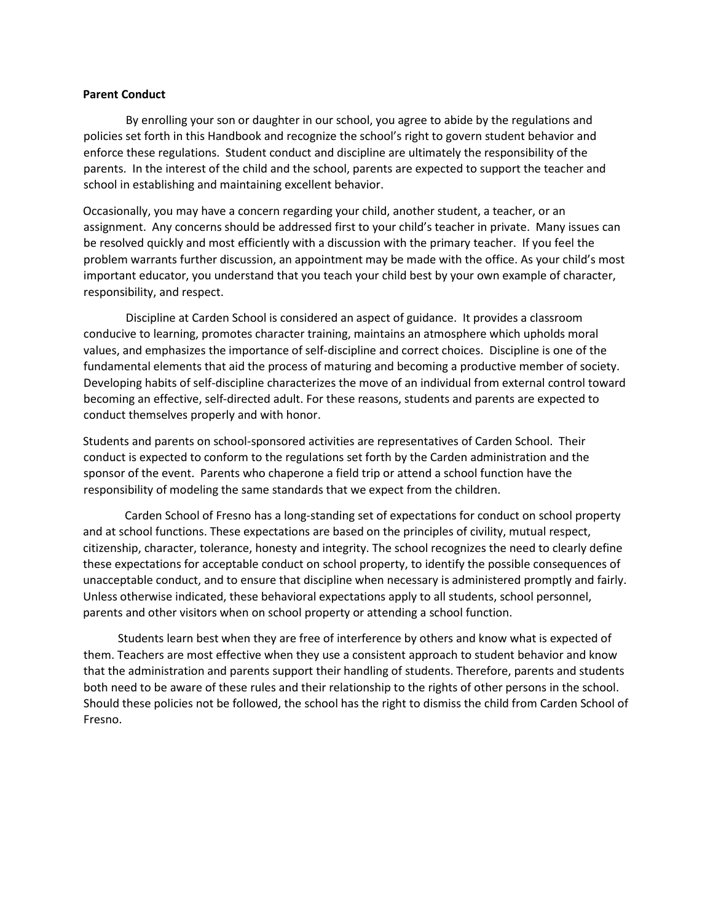#### **Parent Conduct**

By enrolling your son or daughter in our school, you agree to abide by the regulations and policies set forth in this Handbook and recognize the school's right to govern student behavior and enforce these regulations. Student conduct and discipline are ultimately the responsibility of the parents. In the interest of the child and the school, parents are expected to support the teacher and school in establishing and maintaining excellent behavior.

Occasionally, you may have a concern regarding your child, another student, a teacher, or an assignment. Any concerns should be addressed first to your child's teacher in private. Many issues can be resolved quickly and most efficiently with a discussion with the primary teacher. If you feel the problem warrants further discussion, an appointment may be made with the office. As your child's most important educator, you understand that you teach your child best by your own example of character, responsibility, and respect.

Discipline at Carden School is considered an aspect of guidance. It provides a classroom conducive to learning, promotes character training, maintains an atmosphere which upholds moral values, and emphasizes the importance of self-discipline and correct choices. Discipline is one of the fundamental elements that aid the process of maturing and becoming a productive member of society. Developing habits of self-discipline characterizes the move of an individual from external control toward becoming an effective, self-directed adult. For these reasons, students and parents are expected to conduct themselves properly and with honor.

Students and parents on school-sponsored activities are representatives of Carden School. Their conduct is expected to conform to the regulations set forth by the Carden administration and the sponsor of the event. Parents who chaperone a field trip or attend a school function have the responsibility of modeling the same standards that we expect from the children.

Carden School of Fresno has a long-standing set of expectations for conduct on school property and at school functions. These expectations are based on the principles of civility, mutual respect, citizenship, character, tolerance, honesty and integrity. The school recognizes the need to clearly define these expectations for acceptable conduct on school property, to identify the possible consequences of unacceptable conduct, and to ensure that discipline when necessary is administered promptly and fairly. Unless otherwise indicated, these behavioral expectations apply to all students, school personnel, parents and other visitors when on school property or attending a school function.

 Students learn best when they are free of interference by others and know what is expected of them. Teachers are most effective when they use a consistent approach to student behavior and know that the administration and parents support their handling of students. Therefore, parents and students both need to be aware of these rules and their relationship to the rights of other persons in the school. Should these policies not be followed, the school has the right to dismiss the child from Carden School of Fresno.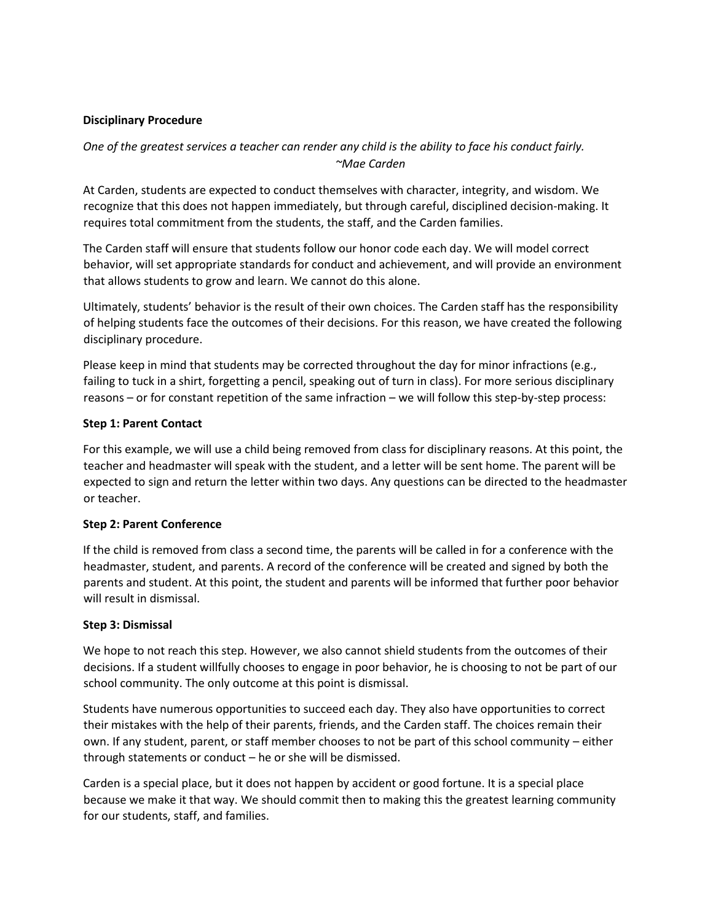# **Disciplinary Procedure**

# *One of the greatest services a teacher can render any child is the ability to face his conduct fairly. ~Mae Carden*

At Carden, students are expected to conduct themselves with character, integrity, and wisdom. We recognize that this does not happen immediately, but through careful, disciplined decision-making. It requires total commitment from the students, the staff, and the Carden families.

The Carden staff will ensure that students follow our honor code each day. We will model correct behavior, will set appropriate standards for conduct and achievement, and will provide an environment that allows students to grow and learn. We cannot do this alone.

Ultimately, students' behavior is the result of their own choices. The Carden staff has the responsibility of helping students face the outcomes of their decisions. For this reason, we have created the following disciplinary procedure.

Please keep in mind that students may be corrected throughout the day for minor infractions (e.g., failing to tuck in a shirt, forgetting a pencil, speaking out of turn in class). For more serious disciplinary reasons – or for constant repetition of the same infraction – we will follow this step-by-step process:

# **Step 1: Parent Contact**

For this example, we will use a child being removed from class for disciplinary reasons. At this point, the teacher and headmaster will speak with the student, and a letter will be sent home. The parent will be expected to sign and return the letter within two days. Any questions can be directed to the headmaster or teacher.

# **Step 2: Parent Conference**

If the child is removed from class a second time, the parents will be called in for a conference with the headmaster, student, and parents. A record of the conference will be created and signed by both the parents and student. At this point, the student and parents will be informed that further poor behavior will result in dismissal.

# **Step 3: Dismissal**

We hope to not reach this step. However, we also cannot shield students from the outcomes of their decisions. If a student willfully chooses to engage in poor behavior, he is choosing to not be part of our school community. The only outcome at this point is dismissal.

Students have numerous opportunities to succeed each day. They also have opportunities to correct their mistakes with the help of their parents, friends, and the Carden staff. The choices remain their own. If any student, parent, or staff member chooses to not be part of this school community – either through statements or conduct – he or she will be dismissed.

Carden is a special place, but it does not happen by accident or good fortune. It is a special place because we make it that way. We should commit then to making this the greatest learning community for our students, staff, and families.